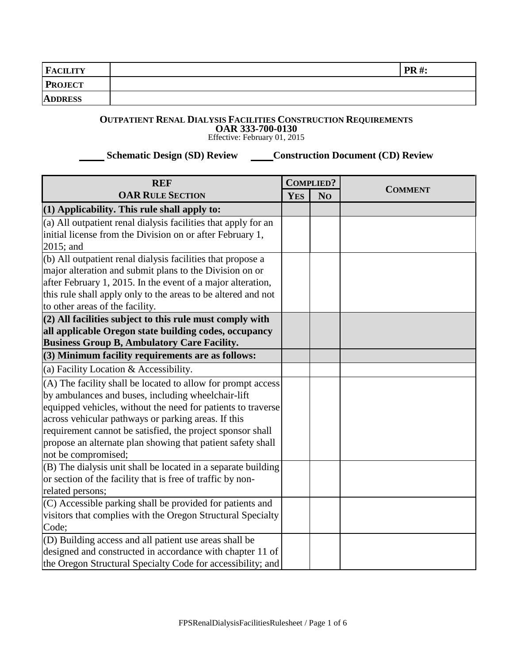| <b>FACILITY</b> | <b>PR#:</b> |
|-----------------|-------------|
| <b>PROJECT</b>  |             |
| <b>ADDRESS</b>  |             |

## **OUTPATIENT RENAL DIALYSIS FACILITIES CONSTRUCTION REQUIREMENTS OAR 333-700-0130**

Effective: February 01, 2015

 **Schematic Design (SD) Review Construction Document (CD) Review** 

| <b>COMPLIED?</b><br><b>REF</b>                                 |            |                |                |
|----------------------------------------------------------------|------------|----------------|----------------|
| <b>OAR RULE SECTION</b>                                        | <b>YES</b> | N <sub>O</sub> | <b>COMMENT</b> |
| $(1)$ Applicability. This rule shall apply to:                 |            |                |                |
| (a) All outpatient renal dialysis facilities that apply for an |            |                |                |
| initial license from the Division on or after February 1,      |            |                |                |
| 2015; and                                                      |            |                |                |
| (b) All outpatient renal dialysis facilities that propose a    |            |                |                |
| major alteration and submit plans to the Division on or        |            |                |                |
| after February 1, 2015. In the event of a major alteration,    |            |                |                |
| this rule shall apply only to the areas to be altered and not  |            |                |                |
| to other areas of the facility.                                |            |                |                |
| $(2)$ All facilities subject to this rule must comply with     |            |                |                |
| all applicable Oregon state building codes, occupancy          |            |                |                |
| <b>Business Group B, Ambulatory Care Facility.</b>             |            |                |                |
| (3) Minimum facility requirements are as follows:              |            |                |                |
| (a) Facility Location & Accessibility.                         |            |                |                |
| $(A)$ The facility shall be located to allow for prompt access |            |                |                |
| by ambulances and buses, including wheelchair-lift             |            |                |                |
| equipped vehicles, without the need for patients to traverse   |            |                |                |
| across vehicular pathways or parking areas. If this            |            |                |                |
| requirement cannot be satisfied, the project sponsor shall     |            |                |                |
| propose an alternate plan showing that patient safety shall    |            |                |                |
| not be compromised;                                            |            |                |                |
| (B) The dialysis unit shall be located in a separate building  |            |                |                |
| or section of the facility that is free of traffic by non-     |            |                |                |
| related persons;                                               |            |                |                |
| $(C)$ Accessible parking shall be provided for patients and    |            |                |                |
| visitors that complies with the Oregon Structural Specialty    |            |                |                |
| Code;                                                          |            |                |                |
| (D) Building access and all patient use areas shall be         |            |                |                |
| designed and constructed in accordance with chapter 11 of      |            |                |                |
| the Oregon Structural Specialty Code for accessibility; and    |            |                |                |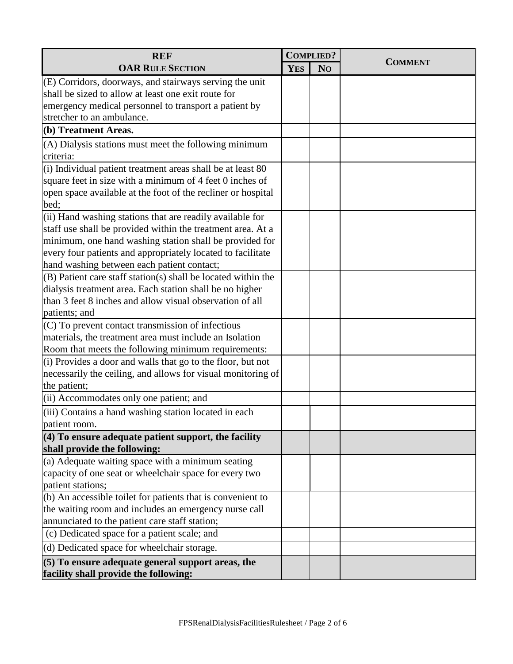| <b>COMPLIED?</b><br><b>REF</b>                                |            |                |                |  |
|---------------------------------------------------------------|------------|----------------|----------------|--|
| <b>OAR RULE SECTION</b>                                       | <b>YES</b> | N <sub>O</sub> | <b>COMMENT</b> |  |
| (E) Corridors, doorways, and stairways serving the unit       |            |                |                |  |
| shall be sized to allow at least one exit route for           |            |                |                |  |
| emergency medical personnel to transport a patient by         |            |                |                |  |
| stretcher to an ambulance.                                    |            |                |                |  |
| (b) Treatment Areas.                                          |            |                |                |  |
| (A) Dialysis stations must meet the following minimum         |            |                |                |  |
| criteria:                                                     |            |                |                |  |
| (i) Individual patient treatment areas shall be at least 80   |            |                |                |  |
| square feet in size with a minimum of 4 feet 0 inches of      |            |                |                |  |
| open space available at the foot of the recliner or hospital  |            |                |                |  |
| bed;                                                          |            |                |                |  |
| (ii) Hand washing stations that are readily available for     |            |                |                |  |
| staff use shall be provided within the treatment area. At a   |            |                |                |  |
| minimum, one hand washing station shall be provided for       |            |                |                |  |
| every four patients and appropriately located to facilitate   |            |                |                |  |
| hand washing between each patient contact;                    |            |                |                |  |
| (B) Patient care staff station(s) shall be located within the |            |                |                |  |
| dialysis treatment area. Each station shall be no higher      |            |                |                |  |
| than 3 feet 8 inches and allow visual observation of all      |            |                |                |  |
| patients; and                                                 |            |                |                |  |
| (C) To prevent contact transmission of infectious             |            |                |                |  |
| materials, the treatment area must include an Isolation       |            |                |                |  |
| Room that meets the following minimum requirements:           |            |                |                |  |
| (i) Provides a door and walls that go to the floor, but not   |            |                |                |  |
| necessarily the ceiling, and allows for visual monitoring of  |            |                |                |  |
| the patient;                                                  |            |                |                |  |
| (ii) Accommodates only one patient; and                       |            |                |                |  |
| (iii) Contains a hand washing station located in each         |            |                |                |  |
| patient room.                                                 |            |                |                |  |
| $(4)$ To ensure adequate patient support, the facility        |            |                |                |  |
| shall provide the following:                                  |            |                |                |  |
| (a) Adequate waiting space with a minimum seating             |            |                |                |  |
| capacity of one seat or wheelchair space for every two        |            |                |                |  |
| patient stations;                                             |            |                |                |  |
| (b) An accessible toilet for patients that is convenient to   |            |                |                |  |
| the waiting room and includes an emergency nurse call         |            |                |                |  |
| annunciated to the patient care staff station;                |            |                |                |  |
| (c) Dedicated space for a patient scale; and                  |            |                |                |  |
| (d) Dedicated space for wheelchair storage.                   |            |                |                |  |
| $(5)$ To ensure adequate general support areas, the           |            |                |                |  |
| facility shall provide the following:                         |            |                |                |  |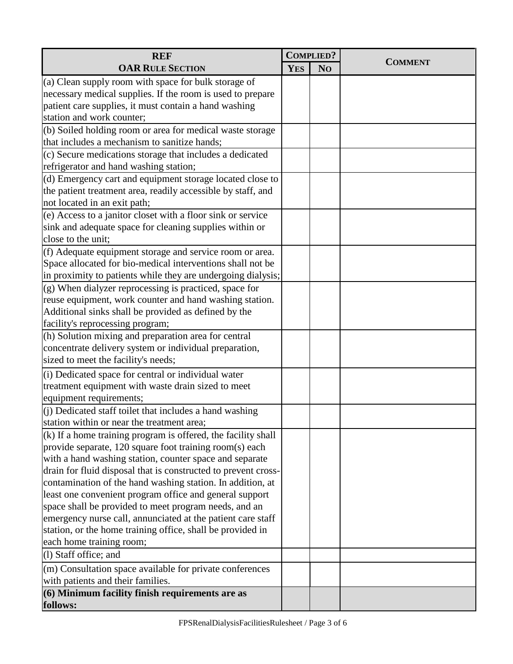| <b>REF</b>                                                      |            | <b>COMPLIED?</b> |                |  |
|-----------------------------------------------------------------|------------|------------------|----------------|--|
| <b>OAR RULE SECTION</b>                                         | <b>YES</b> | N <sub>O</sub>   | <b>COMMENT</b> |  |
| (a) Clean supply room with space for bulk storage of            |            |                  |                |  |
| necessary medical supplies. If the room is used to prepare      |            |                  |                |  |
| patient care supplies, it must contain a hand washing           |            |                  |                |  |
| station and work counter;                                       |            |                  |                |  |
| (b) Soiled holding room or area for medical waste storage       |            |                  |                |  |
| that includes a mechanism to sanitize hands;                    |            |                  |                |  |
| (c) Secure medications storage that includes a dedicated        |            |                  |                |  |
| refrigerator and hand washing station;                          |            |                  |                |  |
| (d) Emergency cart and equipment storage located close to       |            |                  |                |  |
| the patient treatment area, readily accessible by staff, and    |            |                  |                |  |
| not located in an exit path;                                    |            |                  |                |  |
| (e) Access to a janitor closet with a floor sink or service     |            |                  |                |  |
| sink and adequate space for cleaning supplies within or         |            |                  |                |  |
| close to the unit:                                              |            |                  |                |  |
| (f) Adequate equipment storage and service room or area.        |            |                  |                |  |
| Space allocated for bio-medical interventions shall not be      |            |                  |                |  |
| in proximity to patients while they are undergoing dialysis;    |            |                  |                |  |
| (g) When dialyzer reprocessing is practiced, space for          |            |                  |                |  |
| reuse equipment, work counter and hand washing station.         |            |                  |                |  |
| Additional sinks shall be provided as defined by the            |            |                  |                |  |
| facility's reprocessing program;                                |            |                  |                |  |
| (h) Solution mixing and preparation area for central            |            |                  |                |  |
| concentrate delivery system or individual preparation,          |            |                  |                |  |
| sized to meet the facility's needs;                             |            |                  |                |  |
| (i) Dedicated space for central or individual water             |            |                  |                |  |
| treatment equipment with waste drain sized to meet              |            |                  |                |  |
| equipment requirements;                                         |            |                  |                |  |
| $(i)$ Dedicated staff toilet that includes a hand washing       |            |                  |                |  |
| station within or near the treatment area;                      |            |                  |                |  |
| $(k)$ If a home training program is offered, the facility shall |            |                  |                |  |
| provide separate, 120 square foot training room(s) each         |            |                  |                |  |
| with a hand washing station, counter space and separate         |            |                  |                |  |
| drain for fluid disposal that is constructed to prevent cross-  |            |                  |                |  |
| contamination of the hand washing station. In addition, at      |            |                  |                |  |
| least one convenient program office and general support         |            |                  |                |  |
| space shall be provided to meet program needs, and an           |            |                  |                |  |
| emergency nurse call, annunciated at the patient care staff     |            |                  |                |  |
| station, or the home training office, shall be provided in      |            |                  |                |  |
| each home training room;                                        |            |                  |                |  |
| (1) Staff office; and                                           |            |                  |                |  |
| (m) Consultation space available for private conferences        |            |                  |                |  |
| with patients and their families.                               |            |                  |                |  |
| (6) Minimum facility finish requirements are as                 |            |                  |                |  |
| follows:                                                        |            |                  |                |  |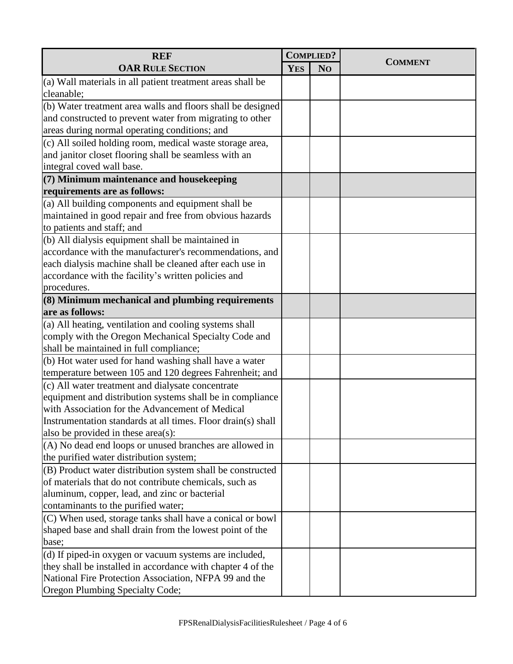| <b>REF</b>                                                   |            | <b>COMPLIED?</b> |                |  |
|--------------------------------------------------------------|------------|------------------|----------------|--|
| <b>OAR RULE SECTION</b>                                      | <b>YES</b> | N <sub>O</sub>   | <b>COMMENT</b> |  |
| (a) Wall materials in all patient treatment areas shall be   |            |                  |                |  |
| cleanable;                                                   |            |                  |                |  |
| (b) Water treatment area walls and floors shall be designed  |            |                  |                |  |
| and constructed to prevent water from migrating to other     |            |                  |                |  |
| areas during normal operating conditions; and                |            |                  |                |  |
| (c) All soiled holding room, medical waste storage area,     |            |                  |                |  |
| and janitor closet flooring shall be seamless with an        |            |                  |                |  |
| integral coved wall base.                                    |            |                  |                |  |
| (7) Minimum maintenance and housekeeping                     |            |                  |                |  |
| requirements are as follows:                                 |            |                  |                |  |
| (a) All building components and equipment shall be           |            |                  |                |  |
| maintained in good repair and free from obvious hazards      |            |                  |                |  |
| to patients and staff; and                                   |            |                  |                |  |
| (b) All dialysis equipment shall be maintained in            |            |                  |                |  |
| accordance with the manufacturer's recommendations, and      |            |                  |                |  |
| each dialysis machine shall be cleaned after each use in     |            |                  |                |  |
| accordance with the facility's written policies and          |            |                  |                |  |
| procedures.                                                  |            |                  |                |  |
| (8) Minimum mechanical and plumbing requirements             |            |                  |                |  |
| are as follows:                                              |            |                  |                |  |
| (a) All heating, ventilation and cooling systems shall       |            |                  |                |  |
| comply with the Oregon Mechanical Specialty Code and         |            |                  |                |  |
| shall be maintained in full compliance;                      |            |                  |                |  |
| (b) Hot water used for hand washing shall have a water       |            |                  |                |  |
| temperature between 105 and 120 degrees Fahrenheit; and      |            |                  |                |  |
| (c) All water treatment and dialysate concentrate            |            |                  |                |  |
| equipment and distribution systems shall be in compliance    |            |                  |                |  |
| with Association for the Advancement of Medical              |            |                  |                |  |
| Instrumentation standards at all times. Floor drain(s) shall |            |                  |                |  |
| also be provided in these area(s):                           |            |                  |                |  |
| (A) No dead end loops or unused branches are allowed in      |            |                  |                |  |
| the purified water distribution system;                      |            |                  |                |  |
| (B) Product water distribution system shall be constructed   |            |                  |                |  |
| of materials that do not contribute chemicals, such as       |            |                  |                |  |
| aluminum, copper, lead, and zinc or bacterial                |            |                  |                |  |
| contaminants to the purified water;                          |            |                  |                |  |
| (C) When used, storage tanks shall have a conical or bowl    |            |                  |                |  |
| shaped base and shall drain from the lowest point of the     |            |                  |                |  |
| base;                                                        |            |                  |                |  |
| (d) If piped-in oxygen or vacuum systems are included,       |            |                  |                |  |
| they shall be installed in accordance with chapter 4 of the  |            |                  |                |  |
| National Fire Protection Association, NFPA 99 and the        |            |                  |                |  |
| Oregon Plumbing Specialty Code;                              |            |                  |                |  |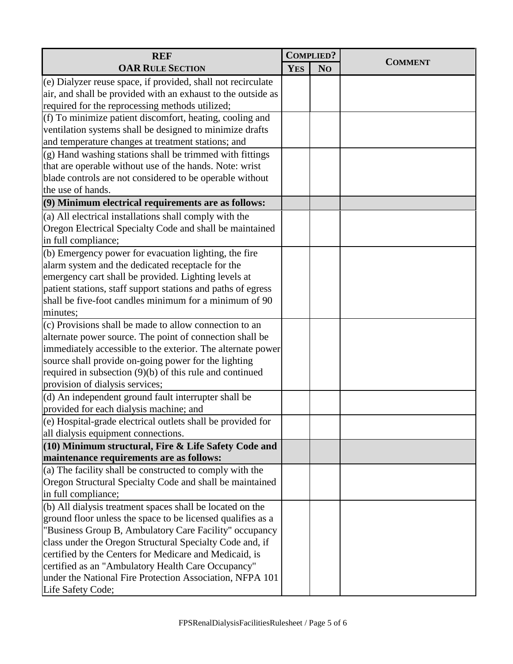| <b>COMPLIED?</b><br><b>REF</b>                                     |            |                |                |  |
|--------------------------------------------------------------------|------------|----------------|----------------|--|
| <b>OAR RULE SECTION</b>                                            | <b>YES</b> | N <sub>O</sub> | <b>COMMENT</b> |  |
| (e) Dialyzer reuse space, if provided, shall not recirculate       |            |                |                |  |
| air, and shall be provided with an exhaust to the outside as       |            |                |                |  |
| required for the reprocessing methods utilized;                    |            |                |                |  |
| (f) To minimize patient discomfort, heating, cooling and           |            |                |                |  |
| ventilation systems shall be designed to minimize drafts           |            |                |                |  |
| and temperature changes at treatment stations; and                 |            |                |                |  |
| $(g)$ Hand washing stations shall be trimmed with fittings         |            |                |                |  |
| that are operable without use of the hands. Note: wrist            |            |                |                |  |
| blade controls are not considered to be operable without           |            |                |                |  |
| the use of hands.                                                  |            |                |                |  |
| (9) Minimum electrical requirements are as follows:                |            |                |                |  |
| (a) All electrical installations shall comply with the             |            |                |                |  |
| Oregon Electrical Specialty Code and shall be maintained           |            |                |                |  |
| in full compliance;                                                |            |                |                |  |
| (b) Emergency power for evacuation lighting, the fire              |            |                |                |  |
| alarm system and the dedicated receptacle for the                  |            |                |                |  |
| emergency cart shall be provided. Lighting levels at               |            |                |                |  |
| patient stations, staff support stations and paths of egress       |            |                |                |  |
| shall be five-foot candles minimum for a minimum of 90<br>minutes; |            |                |                |  |
| (c) Provisions shall be made to allow connection to an             |            |                |                |  |
| alternate power source. The point of connection shall be           |            |                |                |  |
| immediately accessible to the exterior. The alternate power        |            |                |                |  |
| source shall provide on-going power for the lighting               |            |                |                |  |
| required in subsection (9)(b) of this rule and continued           |            |                |                |  |
| provision of dialysis services;                                    |            |                |                |  |
| (d) An independent ground fault interrupter shall be               |            |                |                |  |
| provided for each dialysis machine; and                            |            |                |                |  |
| (e) Hospital-grade electrical outlets shall be provided for        |            |                |                |  |
| all dialysis equipment connections.                                |            |                |                |  |
| (10) Minimum structural, Fire & Life Safety Code and               |            |                |                |  |
| maintenance requirements are as follows:                           |            |                |                |  |
| (a) The facility shall be constructed to comply with the           |            |                |                |  |
| Oregon Structural Specialty Code and shall be maintained           |            |                |                |  |
| in full compliance;                                                |            |                |                |  |
| (b) All dialysis treatment spaces shall be located on the          |            |                |                |  |
| ground floor unless the space to be licensed qualifies as a        |            |                |                |  |
| "Business Group B, Ambulatory Care Facility" occupancy             |            |                |                |  |
| class under the Oregon Structural Specialty Code and, if           |            |                |                |  |
| certified by the Centers for Medicare and Medicaid, is             |            |                |                |  |
| certified as an "Ambulatory Health Care Occupancy"                 |            |                |                |  |
| under the National Fire Protection Association, NFPA 101           |            |                |                |  |
| Life Safety Code;                                                  |            |                |                |  |